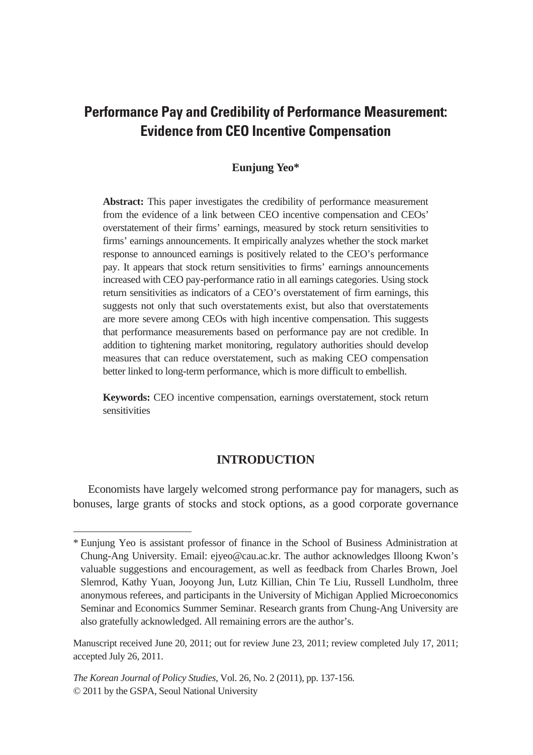# **Performance Pay and Credibility of Performance Measurement: Evidence from CEO Incentive Compensation**

# **Eunjung Yeo\***

**Abstract:** This paper investigates the credibility of performance measurement from the evidence of a link between CEO incentive compensation and CEOs' overstatement of their firms' earnings, measured by stock return sensitivities to firms' earnings announcements. It empirically analyzes whether the stock market response to announced earnings is positively related to the CEO's performance pay. It appears that stock return sensitivities to firms' earnings announcements increased with CEO pay-performance ratio in all earnings categories. Using stock return sensitivities as indicators of a CEO's overstatement of firm earnings, this suggests not only that such overstatements exist, but also that overstatements are more severe among CEOs with high incentive compensation. This suggests that performance measurements based on performance pay are not credible. In addition to tightening market monitoring, regulatory authorities should develop measures that can reduce overstatement, such as making CEO compensation better linked to long-term performance, which is more difficult to embellish.

**Keywords:** CEO incentive compensation, earnings overstatement, stock return sensitivities

# **INTRODUCTION**

Economists have largely welcomed strong performance pay for managers, such as bonuses, large grants of stocks and stock options, as a good corporate governance

<sup>\*</sup> Eunjung Yeo is assistant professor of finance in the School of Business Administration at Chung-Ang University. Email: ejyeo@cau.ac.kr. The author acknowledges Illoong Kwon's valuable suggestions and encouragement, as well as feedback from Charles Brown, Joel Slemrod, Kathy Yuan, Jooyong Jun, Lutz Killian, Chin Te Liu, Russell Lundholm, three anonymous referees, and participants in the University of Michigan Applied Microeconomics Seminar and Economics Summer Seminar. Research grants from Chung-Ang University are also gratefully acknowledged. All remaining errors are the author's.

Manuscript received June 20, 2011; out for review June 23, 2011; review completed July 17, 2011; accepted July 26, 2011.

*The Korean Journal of Policy Studies*, Vol. 26, No. 2 (2011), pp. 137-156. © 2011 by the GSPA, Seoul National University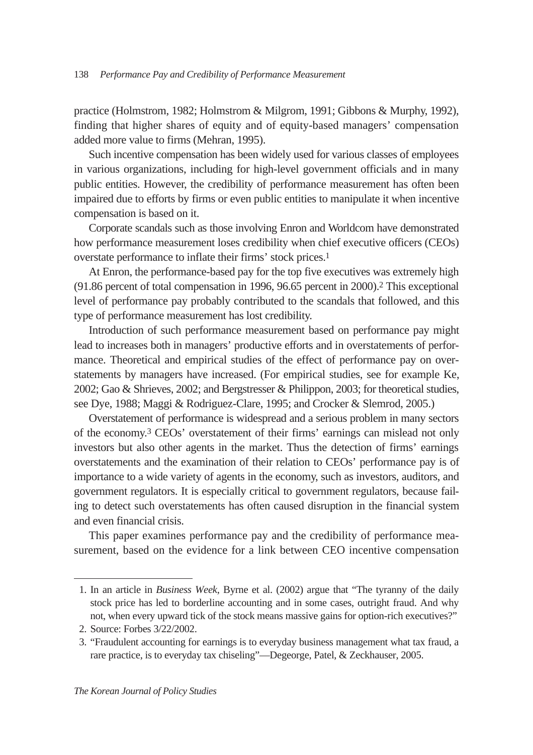practice (Holmstrom, 1982; Holmstrom & Milgrom, 1991; Gibbons & Murphy, 1992), finding that higher shares of equity and of equity-based managers' compensation added more value to firms (Mehran, 1995).

Such incentive compensation has been widely used for various classes of employees in various organizations, including for high-level government officials and in many public entities. However, the credibility of performance measurement has often been impaired due to efforts by firms or even public entities to manipulate it when incentive compensation is based on it.

Corporate scandals such as those involving Enron and Worldcom have demonstrated how performance measurement loses credibility when chief executive officers (CEOs) overstate performance to inflate their firms' stock prices.1

At Enron, the performance-based pay for the top five executives was extremely high (91.86 percent of total compensation in 1996, 96.65 percent in 2000).2 This exceptional level of performance pay probably contributed to the scandals that followed, and this type of performance measurement has lost credibility.

Introduction of such performance measurement based on performance pay might lead to increases both in managers' productive efforts and in overstatements of performance. Theoretical and empirical studies of the effect of performance pay on overstatements by managers have increased. (For empirical studies, see for example Ke, 2002; Gao & Shrieves, 2002; and Bergstresser & Philippon, 2003; for theoretical studies, see Dye, 1988; Maggi & Rodriguez-Clare, 1995; and Crocker & Slemrod, 2005.)

Overstatement of performance is widespread and a serious problem in many sectors of the economy.3 CEOs' overstatement of their firms' earnings can mislead not only investors but also other agents in the market. Thus the detection of firms' earnings overstatements and the examination of their relation to CEOs' performance pay is of importance to a wide variety of agents in the economy, such as investors, auditors, and government regulators. It is especially critical to government regulators, because failing to detect such overstatements has often caused disruption in the financial system and even financial crisis.

This paper examines performance pay and the credibility of performance measurement, based on the evidence for a link between CEO incentive compensation

<sup>1.</sup> In an article in *Business Week*, Byrne et al. (2002) argue that "The tyranny of the daily stock price has led to borderline accounting and in some cases, outright fraud. And why not, when every upward tick of the stock means massive gains for option-rich executives?"

<sup>2.</sup> Source: Forbes 3/22/2002.

<sup>3.</sup> "Fraudulent accounting for earnings is to everyday business management what tax fraud, a rare practice, is to everyday tax chiseling"—Degeorge, Patel, & Zeckhauser, 2005.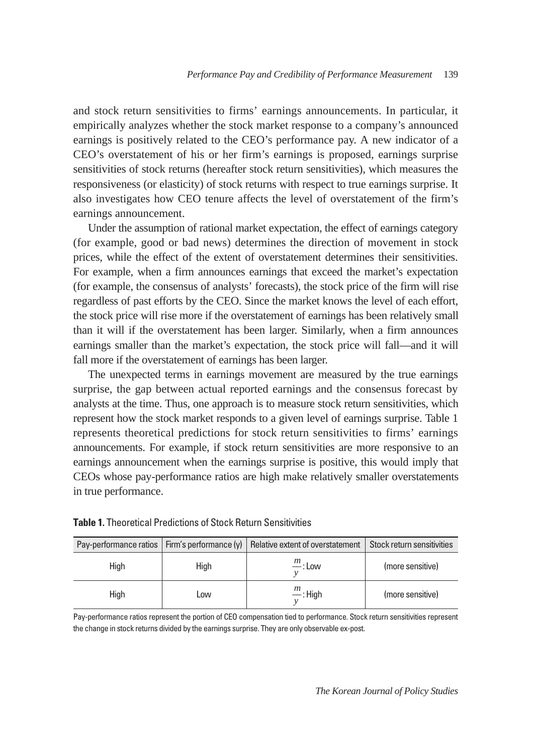and stock return sensitivities to firms' earnings announcements. In particular, it empirically analyzes whether the stock market response to a company's announced earnings is positively related to the CEO's performance pay. A new indicator of a CEO's overstatement of his or her firm's earnings is proposed, earnings surprise sensitivities of stock returns (hereafter stock return sensitivities), which measures the responsiveness (or elasticity) of stock returns with respect to true earnings surprise. It also investigates how CEO tenure affects the level of overstatement of the firm's earnings announcement.

Under the assumption of rational market expectation, the effect of earnings category (for example, good or bad news) determines the direction of movement in stock prices, while the effect of the extent of overstatement determines their sensitivities. For example, when a firm announces earnings that exceed the market's expectation (for example, the consensus of analysts' forecasts), the stock price of the firm will rise regardless of past efforts by the CEO. Since the market knows the level of each effort, the stock price will rise more if the overstatement of earnings has been relatively small than it will if the overstatement has been larger. Similarly, when a firm announces earnings smaller than the market's expectation, the stock price will fall—and it will fall more if the overstatement of earnings has been larger.

The unexpected terms in earnings movement are measured by the true earnings surprise, the gap between actual reported earnings and the consensus forecast by analysts at the time. Thus, one approach is to measure stock return sensitivities, which represent how the stock market responds to a given level of earnings surprise. Table 1 represents theoretical predictions for stock return sensitivities to firms' earnings announcements. For example, if stock return sensitivities are more responsive to an earnings announcement when the earnings surprise is positive, this would imply that CEOs whose pay-performance ratios are high make relatively smaller overstatements in true performance.

| Pay-performance ratios   Firm's performance $(y)$ |      | Relative extent of overstatement   Stock return sensitivities |                  |
|---------------------------------------------------|------|---------------------------------------------------------------|------------------|
| Hiah                                              | High | $\frac{m}{m}$ : Low                                           | (more sensitive) |
| High                                              | LOW. | $\frac{m}{m}$ : High                                          | (more sensitive) |

Pay-performance ratios represent the portion of CEO compensation tied to performance. Stock return sensitivities represent the change in stock returns divided by the earnings surprise. They are only observable ex-post.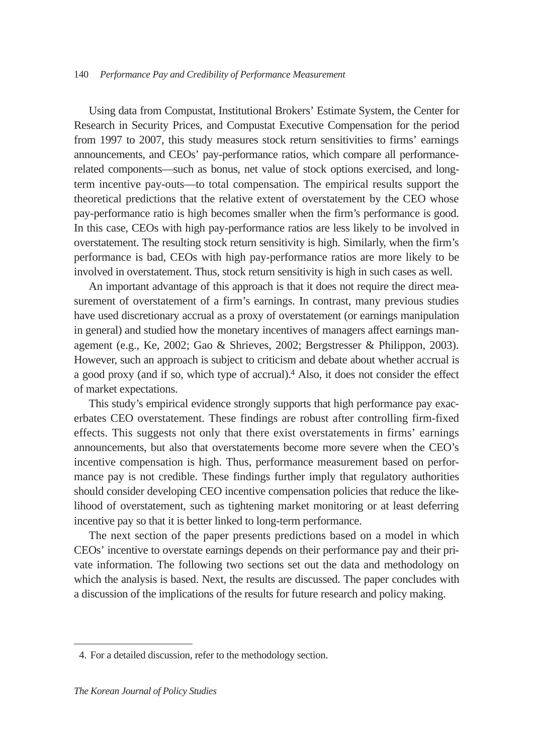Using data from Compustat, Institutional Brokers' Estimate System, the Center for Research in Security Prices, and Compustat Executive Compensation for the period from 1997 to 2007, this study measures stock return sensitivities to firms' earnings announcements, and CEOs' pay-performance ratios, which compare all performancerelated components—such as bonus, net value of stock options exercised, and longterm incentive pay-outs—to total compensation. The empirical results support the theoretical predictions that the relative extent of overstatement by the CEO whose pay-performance ratio is high becomes smaller when the firm's performance is good. In this case, CEOs with high pay-performance ratios are less likely to be involved in overstatement. The resulting stock return sensitivity is high. Similarly, when the firm's performance is bad, CEOs with high pay-performance ratios are more likely to be involved in overstatement. Thus, stock return sensitivity is high in such cases as well.

An important advantage of this approach is that it does not require the direct measurement of overstatement of a firm's earnings. In contrast, many previous studies have used discretionary accrual as a proxy of overstatement (or earnings manipulation in general) and studied how the monetary incentives of managers affect earnings management (e.g., Ke, 2002; Gao & Shrieves, 2002; Bergstresser & Philippon, 2003). However, such an approach is subject to criticism and debate about whether accrual is a good proxy (and if so, which type of accrual).<sup>4</sup> Also, it does not consider the effect of market expectations.

This study's empirical evidence strongly supports that high performance pay exacerbates CEO overstatement. These findings are robust after controlling firm-fixed effects. This suggests not only that there exist overstatements in firms' earnings announcements, but also that overstatements become more severe when the CEO's incentive compensation is high. Thus, performance measurement based on performance pay is not credible. These findings further imply that regulatory authorities should consider developing CEO incentive compensation policies that reduce the likelihood of overstatement, such as tightening market monitoring or at least deferring incentive pay so that it is better linked to long-term performance.

The next section of the paper presents predictions based on a model in which CEOs' incentive to overstate earnings depends on their performance pay and their private information. The following two sections set out the data and methodology on which the analysis is based. Next, the results are discussed. The paper concludes with a discussion of the implications of the results for future research and policy making.

<sup>4.</sup> For a detailed discussion, refer to the methodology section.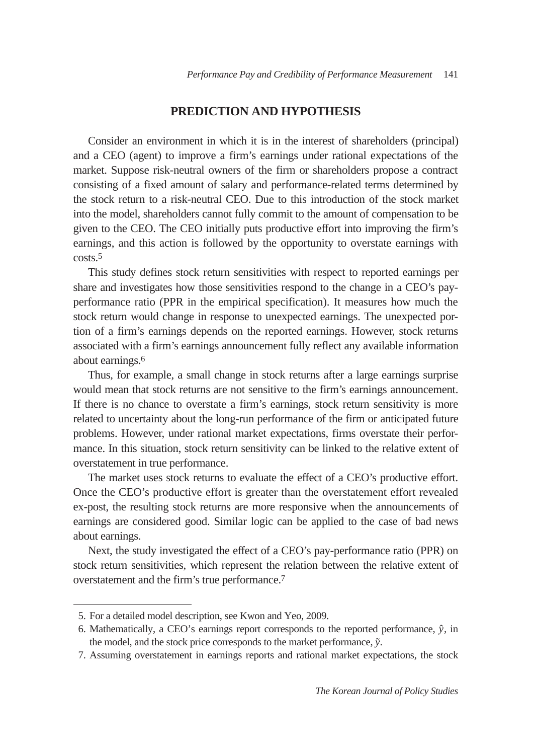# **PREDICTION AND HYPOTHESIS**

Consider an environment in which it is in the interest of shareholders (principal) and a CEO (agent) to improve a firm's earnings under rational expectations of the market. Suppose risk-neutral owners of the firm or shareholders propose a contract consisting of a fixed amount of salary and performance-related terms determined by the stock return to a risk-neutral CEO. Due to this introduction of the stock market into the model, shareholders cannot fully commit to the amount of compensation to be given to the CEO. The CEO initially puts productive effort into improving the firm's earnings, and this action is followed by the opportunity to overstate earnings with costs.5

This study defines stock return sensitivities with respect to reported earnings per share and investigates how those sensitivities respond to the change in a CEO's payperformance ratio (PPR in the empirical specification). It measures how much the stock return would change in response to unexpected earnings. The unexpected portion of a firm's earnings depends on the reported earnings. However, stock returns associated with a firm's earnings announcement fully reflect any available information about earnings.6

Thus, for example, a small change in stock returns after a large earnings surprise would mean that stock returns are not sensitive to the firm's earnings announcement. If there is no chance to overstate a firm's earnings, stock return sensitivity is more related to uncertainty about the long-run performance of the firm or anticipated future problems. However, under rational market expectations, firms overstate their performance. In this situation, stock return sensitivity can be linked to the relative extent of overstatement in true performance.

The market uses stock returns to evaluate the effect of a CEO's productive effort. Once the CEO's productive effort is greater than the overstatement effort revealed ex-post, the resulting stock returns are more responsive when the announcements of earnings are considered good. Similar logic can be applied to the case of bad news about earnings.

Next, the study investigated the effect of a CEO's pay-performance ratio (PPR) on stock return sensitivities, which represent the relation between the relative extent of overstatement and the firm's true performance.7

<sup>5.</sup> For a detailed model description, see Kwon and Yeo, 2009.

<sup>6.</sup> Mathematically, a CEO's earnings report corresponds to the reported performance,  $\hat{y}$ , in the model, and the stock price corresponds to the market performance,  $\tilde{y}$ .

<sup>7.</sup> Assuming overstatement in earnings reports and rational market expectations, the stock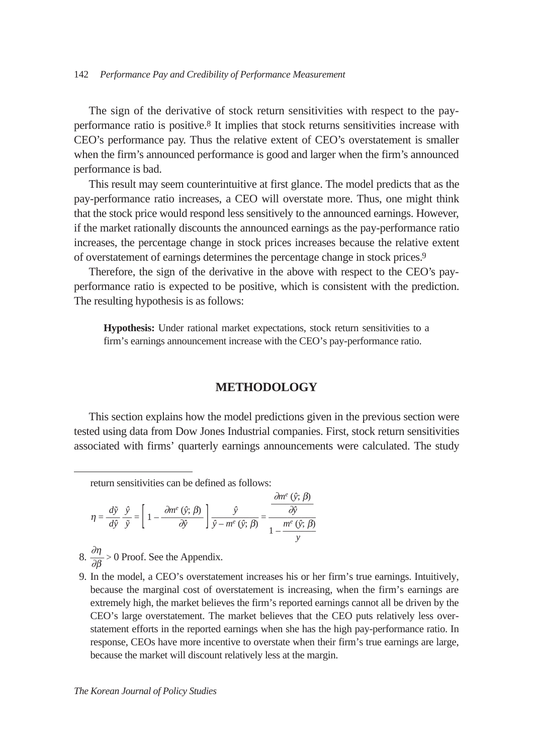#### 142 *Performance Pay and Credibility of Performance Measurement*

The sign of the derivative of stock return sensitivities with respect to the payperformance ratio is positive.8 It implies that stock returns sensitivities increase with CEO's performance pay. Thus the relative extent of CEO's overstatement is smaller when the firm's announced performance is good and larger when the firm's announced performance is bad.

This result may seem counterintuitive at first glance. The model predicts that as the pay-performance ratio increases, a CEO will overstate more. Thus, one might think that the stock price would respond less sensitively to the announced earnings. However, if the market rationally discounts the announced earnings as the pay-performance ratio increases, the percentage change in stock prices increases because the relative extent of overstatement of earnings determines the percentage change in stock prices.9

Therefore, the sign of the derivative in the above with respect to the CEO's payperformance ratio is expected to be positive, which is consistent with the prediction. The resulting hypothesis is as follows:

**Hypothesis:** Under rational market expectations, stock return sensitivities to a firm's earnings announcement increase with the CEO's pay-performance ratio.

### **METHODOLOGY**

This section explains how the model predictions given in the previous section were tested using data from Dow Jones Industrial companies. First, stock return sensitivities associated with firms' quarterly earnings announcements were calculated. The study

return sensitivities can be defined as follows:

$$
\eta = \frac{d\tilde{y}}{d\tilde{y}} \frac{\hat{y}}{\tilde{y}} = \left[1 - \frac{\partial m^e(\hat{y}; \beta)}{\partial \tilde{y}}\right] \frac{\hat{y}}{\hat{y} - m^e(\hat{y}; \beta)} = \frac{\frac{\partial m^e(\hat{y}; \beta)}{\partial \hat{y}}}{1 - \frac{m^e(\hat{y}; \beta)}{y}}
$$

- 8.  $\frac{\partial \eta}{\partial \beta} > 0$  Proof. See the Appendix.
- 9. In the model, a CEO's overstatement increases his or her firm's true earnings. Intuitively, because the marginal cost of overstatement is increasing, when the firm's earnings are extremely high, the market believes the firm's reported earnings cannot all be driven by the CEO's large overstatement. The market believes that the CEO puts relatively less overstatement efforts in the reported earnings when she has the high pay-performance ratio. In response, CEOs have more incentive to overstate when their firm's true earnings are large, because the market will discount relatively less at the margin.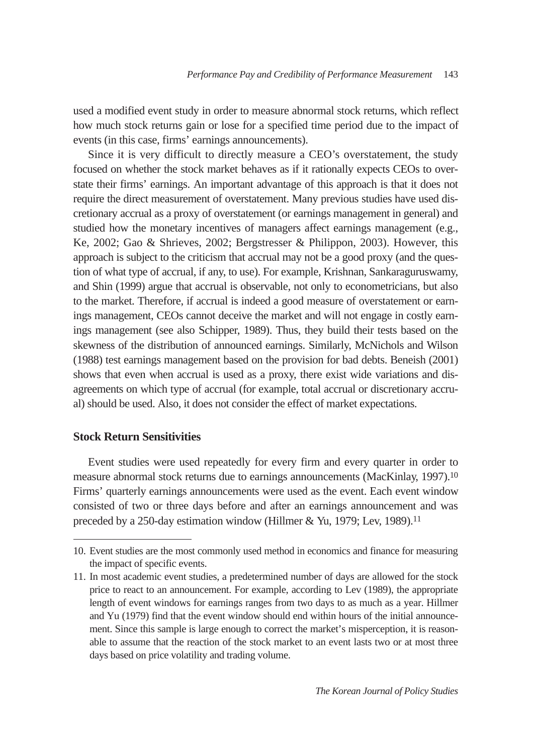used a modified event study in order to measure abnormal stock returns, which reflect how much stock returns gain or lose for a specified time period due to the impact of events (in this case, firms' earnings announcements).

Since it is very difficult to directly measure a CEO's overstatement, the study focused on whether the stock market behaves as if it rationally expects CEOs to overstate their firms' earnings. An important advantage of this approach is that it does not require the direct measurement of overstatement. Many previous studies have used discretionary accrual as a proxy of overstatement (or earnings management in general) and studied how the monetary incentives of managers affect earnings management (e.g., Ke, 2002; Gao & Shrieves, 2002; Bergstresser & Philippon, 2003). However, this approach is subject to the criticism that accrual may not be a good proxy (and the question of what type of accrual, if any, to use). For example, Krishnan, Sankaraguruswamy, and Shin (1999) argue that accrual is observable, not only to econometricians, but also to the market. Therefore, if accrual is indeed a good measure of overstatement or earnings management, CEOs cannot deceive the market and will not engage in costly earnings management (see also Schipper, 1989). Thus, they build their tests based on the skewness of the distribution of announced earnings. Similarly, McNichols and Wilson (1988) test earnings management based on the provision for bad debts. Beneish (2001) shows that even when accrual is used as a proxy, there exist wide variations and disagreements on which type of accrual (for example, total accrual or discretionary accrual) should be used. Also, it does not consider the effect of market expectations.

# **Stock Return Sensitivities**

Event studies were used repeatedly for every firm and every quarter in order to measure abnormal stock returns due to earnings announcements (MacKinlay, 1997).10 Firms' quarterly earnings announcements were used as the event. Each event window consisted of two or three days before and after an earnings announcement and was preceded by a 250-day estimation window (Hillmer & Yu, 1979; Lev, 1989).<sup>11</sup>

<sup>10.</sup> Event studies are the most commonly used method in economics and finance for measuring the impact of specific events.

<sup>11.</sup> In most academic event studies, a predetermined number of days are allowed for the stock price to react to an announcement. For example, according to Lev (1989), the appropriate length of event windows for earnings ranges from two days to as much as a year. Hillmer and Yu (1979) find that the event window should end within hours of the initial announcement. Since this sample is large enough to correct the market's misperception, it is reasonable to assume that the reaction of the stock market to an event lasts two or at most three days based on price volatility and trading volume.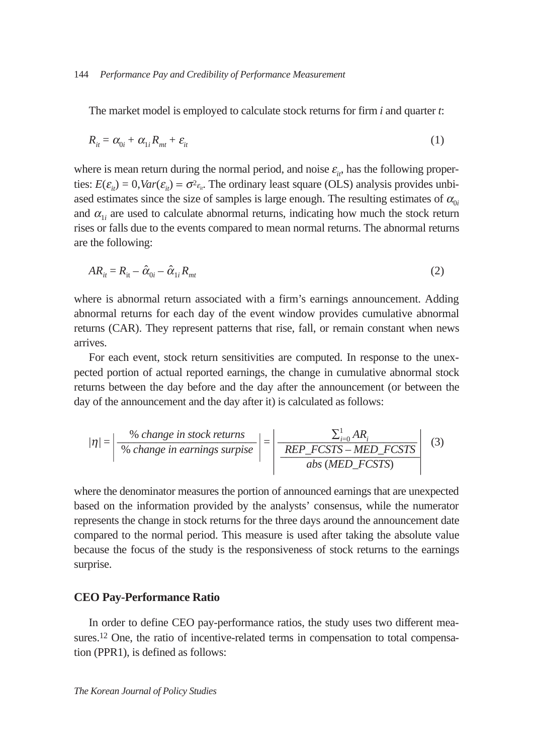The market model is employed to calculate stock returns for firm *i* and quarter *t*:

$$
R_{it} = \alpha_{0i} + \alpha_{1i} R_{mt} + \varepsilon_{it} \tag{1}
$$

where is mean return during the normal period, and noise  $\varepsilon_{i}$ , has the following properties:  $E(\varepsilon_{it}) = 0$ ,  $Var(\varepsilon_{it}) = \sigma^2 \varepsilon_{it}$ . The ordinary least square (OLS) analysis provides unbiased estimates since the size of samples is large enough. The resulting estimates of  $\alpha_{0i}$ and  $\alpha_{1i}$  are used to calculate abnormal returns, indicating how much the stock return rises or falls due to the events compared to mean normal returns. The abnormal returns are the following:

$$
AR_{it} = R_{it} - \hat{\alpha}_{0i} - \hat{\alpha}_{1i}R_{mt} \tag{2}
$$

where is abnormal return associated with a firm's earnings announcement. Adding abnormal returns for each day of the event window provides cumulative abnormal returns (CAR). They represent patterns that rise, fall, or remain constant when news arrives.

For each event, stock return sensitivities are computed. In response to the unexpected portion of actual reported earnings, the change in cumulative abnormal stock returns between the day before and the day after the announcement (or between the day of the announcement and the day after it) is calculated as follows:

$$
|\eta| = \left| \frac{\% \ change \ in \ stock \ returns}{\% \ change \ in \ earnings \ surprise} \right| = \left| \frac{\sum_{i=0}^{1} AR_i}{REP\_FCSTS - MED\_FCSTS} \right| \tag{3}
$$

where the denominator measures the portion of announced earnings that are unexpected based on the information provided by the analysts' consensus, while the numerator represents the change in stock returns for the three days around the announcement date compared to the normal period. This measure is used after taking the absolute value because the focus of the study is the responsiveness of stock returns to the earnings surprise.

#### **CEO Pay-Performance Ratio**

In order to define CEO pay-performance ratios, the study uses two different measures.<sup>12</sup> One, the ratio of incentive-related terms in compensation to total compensation (PPR1), is defined as follows: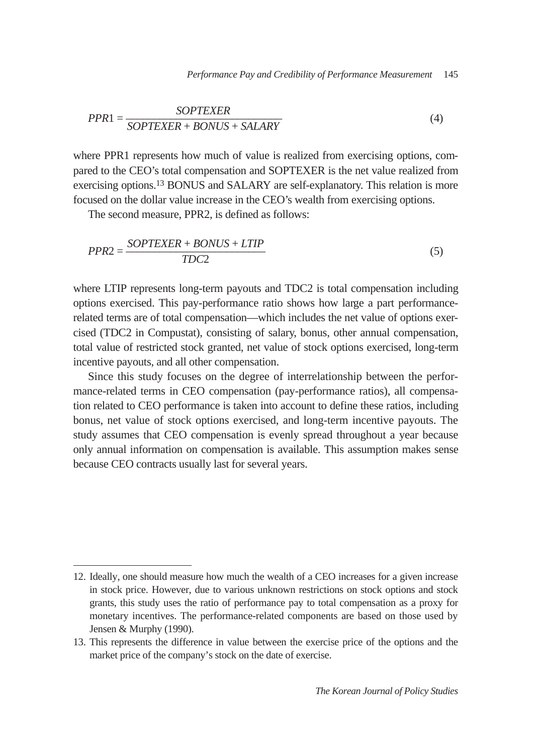$$
PPR1 = \frac{SOPTEXER}{SOPTEXER + BONUS + SALARY}
$$
\n(4)

where PPR1 represents how much of value is realized from exercising options, compared to the CEO's total compensation and SOPTEXER is the net value realized from exercising options.13 BONUS and SALARY are self-explanatory. This relation is more focused on the dollar value increase in the CEO's wealth from exercising options.

The second measure, PPR2, is defined as follows:

$$
PPR2 = \frac{SOPTEXER + BONUS + LTIP}{TDC2}
$$
\n<sup>(5)</sup>

where LTIP represents long-term payouts and TDC2 is total compensation including options exercised. This pay-performance ratio shows how large a part performancerelated terms are of total compensation—which includes the net value of options exercised (TDC2 in Compustat), consisting of salary, bonus, other annual compensation, total value of restricted stock granted, net value of stock options exercised, long-term incentive payouts, and all other compensation.

Since this study focuses on the degree of interrelationship between the performance-related terms in CEO compensation (pay-performance ratios), all compensation related to CEO performance is taken into account to define these ratios, including bonus, net value of stock options exercised, and long-term incentive payouts. The study assumes that CEO compensation is evenly spread throughout a year because only annual information on compensation is available. This assumption makes sense because CEO contracts usually last for several years.

<sup>12.</sup> Ideally, one should measure how much the wealth of a CEO increases for a given increase in stock price. However, due to various unknown restrictions on stock options and stock grants, this study uses the ratio of performance pay to total compensation as a proxy for monetary incentives. The performance-related components are based on those used by Jensen & Murphy (1990).

<sup>13.</sup> This represents the difference in value between the exercise price of the options and the market price of the company's stock on the date of exercise.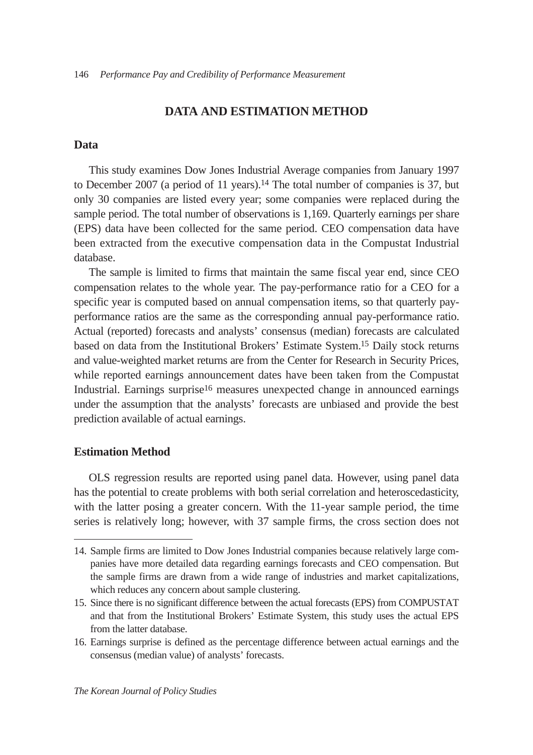# **DATA AND ESTIMATION METHOD**

#### **Data**

This study examines Dow Jones Industrial Average companies from January 1997 to December 2007 (a period of 11 years).14 The total number of companies is 37, but only 30 companies are listed every year; some companies were replaced during the sample period. The total number of observations is 1,169. Quarterly earnings per share (EPS) data have been collected for the same period. CEO compensation data have been extracted from the executive compensation data in the Compustat Industrial database.

The sample is limited to firms that maintain the same fiscal year end, since CEO compensation relates to the whole year. The pay-performance ratio for a CEO for a specific year is computed based on annual compensation items, so that quarterly payperformance ratios are the same as the corresponding annual pay-performance ratio. Actual (reported) forecasts and analysts' consensus (median) forecasts are calculated based on data from the Institutional Brokers' Estimate System.15 Daily stock returns and value-weighted market returns are from the Center for Research in Security Prices, while reported earnings announcement dates have been taken from the Compustat Industrial. Earnings surprise16 measures unexpected change in announced earnings under the assumption that the analysts' forecasts are unbiased and provide the best prediction available of actual earnings.

#### **Estimation Method**

OLS regression results are reported using panel data. However, using panel data has the potential to create problems with both serial correlation and heteroscedasticity, with the latter posing a greater concern. With the 11-year sample period, the time series is relatively long; however, with 37 sample firms, the cross section does not

<sup>14.</sup> Sample firms are limited to Dow Jones Industrial companies because relatively large companies have more detailed data regarding earnings forecasts and CEO compensation. But the sample firms are drawn from a wide range of industries and market capitalizations, which reduces any concern about sample clustering.

<sup>15.</sup> Since there is no significant difference between the actual forecasts (EPS) from COMPUSTAT and that from the Institutional Brokers' Estimate System, this study uses the actual EPS from the latter database.

<sup>16.</sup> Earnings surprise is defined as the percentage difference between actual earnings and the consensus (median value) of analysts' forecasts.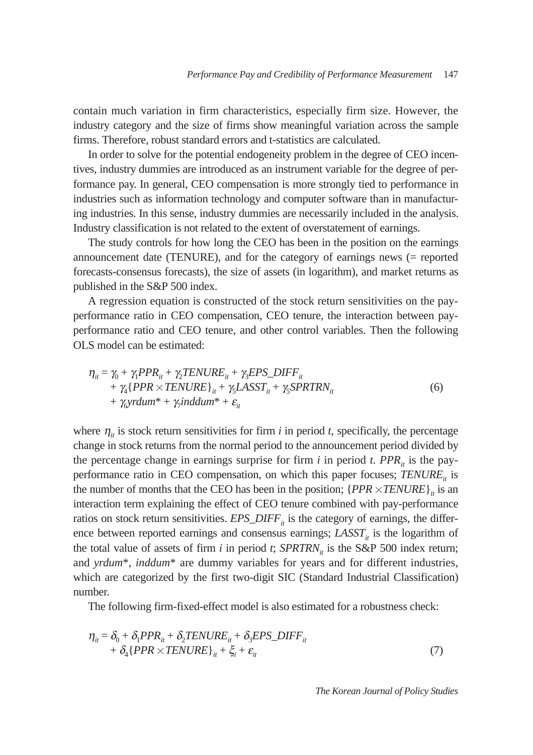contain much variation in firm characteristics, especially firm size. However, the industry category and the size of firms show meaningful variation across the sample firms. Therefore, robust standard errors and t-statistics are calculated.

In order to solve for the potential endogeneity problem in the degree of CEO incentives, industry dummies are introduced as an instrument variable for the degree of performance pay. In general, CEO compensation is more strongly tied to performance in industries such as information technology and computer software than in manufacturing industries. In this sense, industry dummies are necessarily included in the analysis. Industry classification is not related to the extent of overstatement of earnings.

The study controls for how long the CEO has been in the position on the earnings announcement date (TENURE), and for the category of earnings news (= reported forecasts-consensus forecasts), the size of assets (in logarithm), and market returns as published in the S&P 500 index.

A regression equation is constructed of the stock return sensitivities on the payperformance ratio in CEO compensation, CEO tenure, the interaction between payperformance ratio and CEO tenure, and other control variables. Then the following OLS model can be estimated:

$$
\eta_{it} = \gamma_0 + \gamma_1 PPR_{it} + \gamma_2 TENURE_{it} + \gamma_3 EPS\_DIFF_{it} + \gamma_4 \{PPR \times TENURE\}_{it} + \gamma_5 LASST_{it} + \gamma_5 SPRTRN_{it} + \gamma_5 \gamma_7 \gamma_8 \gamma_4 \gamma_5 \gamma_6 \gamma_7 \gamma_8 \gamma_8 \gamma_9 \gamma_9 \gamma_9 \gamma_1 \gamma_8 \gamma_9 \gamma_9 \gamma_1 \gamma_0 \gamma_1 \gamma_0 \gamma_1 \gamma_0 \gamma_1 \gamma_0 \gamma_1 \gamma_0 \gamma_1 \gamma_0 \gamma_1 \gamma_0 \gamma_1 \gamma_0 \gamma_1 \gamma_0 \gamma_1 \gamma_0 \gamma_1 \gamma_0 \gamma_1 \gamma_0 \gamma_1 \gamma_0 \gamma_1 \gamma_0 \gamma_1 \gamma_0 \gamma_1 \gamma_0 \gamma_1 \gamma_0 \gamma_1 \gamma_0 \gamma_1 \gamma_0 \gamma_1 \gamma_0 \gamma_1 \gamma_0 \gamma_1 \gamma_0 \gamma_1 \gamma_0 \gamma_1 \gamma_0 \gamma_1 \gamma_0 \gamma_1 \gamma_0 \gamma_1 \gamma_0 \gamma_1 \gamma_0 \gamma_1 \gamma_0 \gamma_1 \gamma_0 \gamma_1 \gamma_0 \gamma_1 \gamma_0 \gamma_1 \gamma_0 \gamma_1 \gamma_0 \gamma_1 \gamma_0 \gamma_0 \gamma_1 \gamma_0 \gamma_1 \gamma_0 \gamma_1 \gamma_0 \gamma_1 \gamma_0 \gamma_1 \gamma_0 \gamma_1 \gamma_0 \gamma_1 \gamma_0 \gamma_1 \gamma_0 \gamma_1 \gamma_0 \gamma_1 \gamma_0 \gamma_1 \gamma_0 \gamma_1 \gamma_0 \gamma_1 \gamma_0 \gamma_1 \gamma_0 \gamma_1 \gamma_0 \gamma_1 \gamma_0 \gamma_1 \gamma_0 \gamma_1 \gamma_0 \gamma_1 \gamma_0 \gamma_1 \gamma_0 \gamma_1 \gamma_0 \gamma_1 \gamma_0 \gamma_1 \gamma_0 \gamma_1 \gamma_0 \gamma_1 \gamma_0 \gamma_1 \gamma_0 \gamma_1 \gamma_0 \gamma_1 \gamma_0 \gamma_1 \gamma_0 \gamma_1 \gamma_0 \gamma_1 \gamma_0 \gamma_1 \gamma_0 \gamma_1 \gamma_0 \gamma_1 \gamma_0 \gamma_1 \gamma_0 \gamma_1 \gamma_0 \gamma_1 \gamma_0 \gamma_1 \gamma_0 \gamma_1 \gamma_0 \gamma_1 \gamma_0 \gamma_1 \
$$

where  $\eta_i$  is stock return sensitivities for firm *i* in period *t*, specifically, the percentage change in stock returns from the normal period to the announcement period divided by the percentage change in earnings surprise for firm  $i$  in period  $t$ . *PPR<sub>it</sub>* is the payperformance ratio in CEO compensation, on which this paper focuses; *TENURE<sub>it</sub>* is the number of months that the CEO has been in the position;  $\{PPR \times TENURE\}_i$  is an interaction term explaining the effect of CEO tenure combined with pay-performance ratios on stock return sensitivities.  $EPS\_DIFF_{it}$  is the category of earnings, the difference between reported earnings and consensus earnings;  $LASST<sub>i</sub>$  is the logarithm of the total value of assets of firm  $i$  in period  $t$ ;  $SPRTRN_{it}$  is the S&P 500 index return; and *yrdum*\*, *inddum*\* are dummy variables for years and for different industries, which are categorized by the first two-digit SIC (Standard Industrial Classification) number.

The following firm-fixed-effect model is also estimated for a robustness check:

$$
\eta_{it} = \delta_0 + \delta_1 PPR_{it} + \delta_2 TENURE_{it} + \delta_3 EPS\_DIFF_{it} + \delta_4 \{PPR \times TENURE\}_{it} + \xi_i + \varepsilon_{it}
$$
\n(7)

*The Korean Journal of Policy Studies*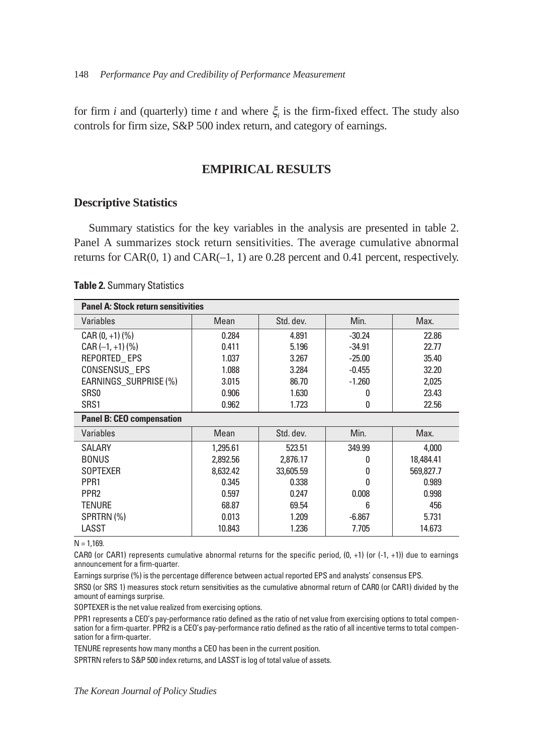for firm *i* and (quarterly) time *t* and where  $\xi$  is the firm-fixed effect. The study also controls for firm size, S&P 500 index return, and category of earnings.

# **EMPIRICAL RESULTS**

# **Descriptive Statistics**

Summary statistics for the key variables in the analysis are presented in table 2. Panel A summarizes stock return sensitivities. The average cumulative abnormal returns for CAR(0, 1) and CAR(–1, 1) are 0.28 percent and 0.41 percent, respectively.

#### **Table 2.** Summary Statistics

| <b>Panel A: Stock return sensitivities</b> |          |           |          |           |  |  |
|--------------------------------------------|----------|-----------|----------|-----------|--|--|
| Variables                                  | Mean     | Std. dev. | Min.     | Max.      |  |  |
| $CAR (0, +1)$ (%)                          | 0.284    | 4.891     | $-30.24$ | 22.86     |  |  |
| $CAR (-1, +1)$ (%)                         | 0.411    | 5.196     | $-34.91$ | 22.77     |  |  |
| REPORTED_EPS                               | 1.037    | 3.267     | $-25.00$ | 35.40     |  |  |
| CONSENSUS EPS                              | 1.088    | 3.284     | $-0.455$ | 32.20     |  |  |
| EARNINGS SURPRISE (%)                      | 3.015    | 86.70     | $-1.260$ | 2,025     |  |  |
| SR <sub>S0</sub>                           | 0.906    | 1.630     | O        | 23.43     |  |  |
| SRS1                                       | 0.962    | 1.723     | 0        | 22.56     |  |  |
| <b>Panel B: CEO compensation</b>           |          |           |          |           |  |  |
| Variables                                  | Mean     | Std. dev. | Min.     | Max.      |  |  |
| <b>SALARY</b>                              | 1,295.61 | 523.51    | 349.99   | 4,000     |  |  |
| <b>BONUS</b>                               | 2,892.56 | 2,876.17  | 0        | 18,484.41 |  |  |
| <b>SOPTEXER</b>                            | 8.632.42 | 33,605.59 | 0        | 569,827.7 |  |  |
| PPR <sub>1</sub>                           | 0.345    | 0.338     | O        | 0.989     |  |  |
| PPR <sub>2</sub>                           | 0.597    | 0.247     | 0.008    | 0.998     |  |  |
| <b>TENURE</b>                              | 68.87    | 69.54     | 6        | 456       |  |  |
| SPRTRN(%)                                  | 0.013    | 1.209     | $-6.867$ | 5.731     |  |  |
| LASST                                      | 10.843   | 1.236     | 7.705    | 14.673    |  |  |

 $N = 1,169.$ 

CAR0 (or CAR1) represents cumulative abnormal returns for the specific period,  $(0, +1)$  (or  $(-1, +1)$ ) due to earnings announcement for a firm-quarter.

Earnings surprise (%) is the percentage difference between actual reported EPS and analysts' consensus EPS.

SRS0 (or SRS 1) measures stock return sensitivities as the cumulative abnormal return of CAR0 (or CAR1) divided by the amount of earnings surprise.

SOPTEXER is the net value realized from exercising options.

PPR1 represents a CEO's pay-performance ratio defined as the ratio of net value from exercising options to total compensation for a firm-quarter. PPR2 is a CEO's pay-performance ratio defined as the ratio of all incentive terms to total compensation for a firm-quarter.

TENURE represents how many months a CEO has been in the current position.

SPRTRN refers to S&P 500 index returns, and LASST is log of total value of assets.

*The Korean Journal of Policy Studies*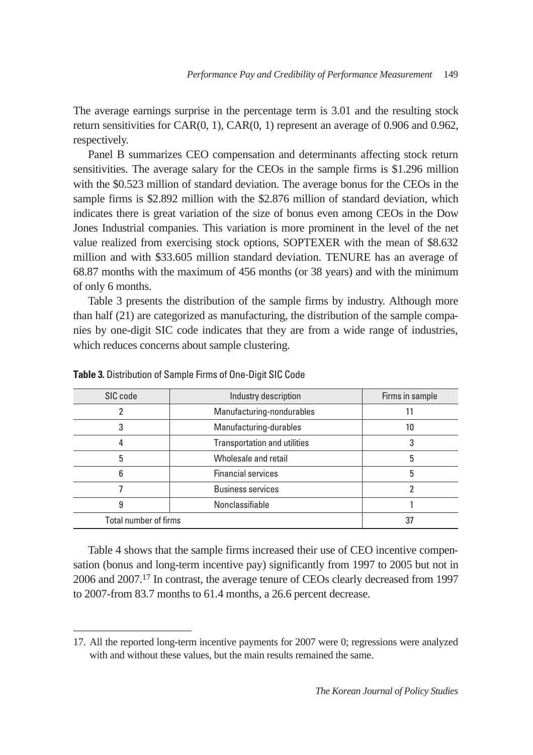The average earnings surprise in the percentage term is 3.01 and the resulting stock return sensitivities for CAR(0, 1), CAR(0, 1) represent an average of 0.906 and 0.962, respectively.

Panel B summarizes CEO compensation and determinants affecting stock return sensitivities. The average salary for the CEOs in the sample firms is \$1.296 million with the \$0.523 million of standard deviation. The average bonus for the CEOs in the sample firms is \$2.892 million with the \$2.876 million of standard deviation, which indicates there is great variation of the size of bonus even among CEOs in the Dow Jones Industrial companies. This variation is more prominent in the level of the net value realized from exercising stock options, SOPTEXER with the mean of \$8.632 million and with \$33.605 million standard deviation. TENURE has an average of 68.87 months with the maximum of 456 months (or 38 years) and with the minimum of only 6 months.

Table 3 presents the distribution of the sample firms by industry. Although more than half (21) are categorized as manufacturing, the distribution of the sample companies by one-digit SIC code indicates that they are from a wide range of industries, which reduces concerns about sample clustering.

| SIC code              | Industry description         | Firms in sample |
|-----------------------|------------------------------|-----------------|
|                       | Manufacturing-nondurables    |                 |
|                       | Manufacturing-durables       | 10              |
|                       | Transportation and utilities | 3               |
| 5                     | Wholesale and retail         | 5               |
| հ                     | <b>Financial services</b>    | 5               |
|                       | <b>Business services</b>     |                 |
|                       | Nonclassifiable              |                 |
| Total number of firms |                              | 37              |

**Table 3.** Distribution of Sample Firms of One-Digit SIC Code

Table 4 shows that the sample firms increased their use of CEO incentive compensation (bonus and long-term incentive pay) significantly from 1997 to 2005 but not in 2006 and 2007.17 In contrast, the average tenure of CEOs clearly decreased from 1997 to 2007-from 83.7 months to 61.4 months, a 26.6 percent decrease.

<sup>17.</sup> All the reported long-term incentive payments for 2007 were 0; regressions were analyzed with and without these values, but the main results remained the same.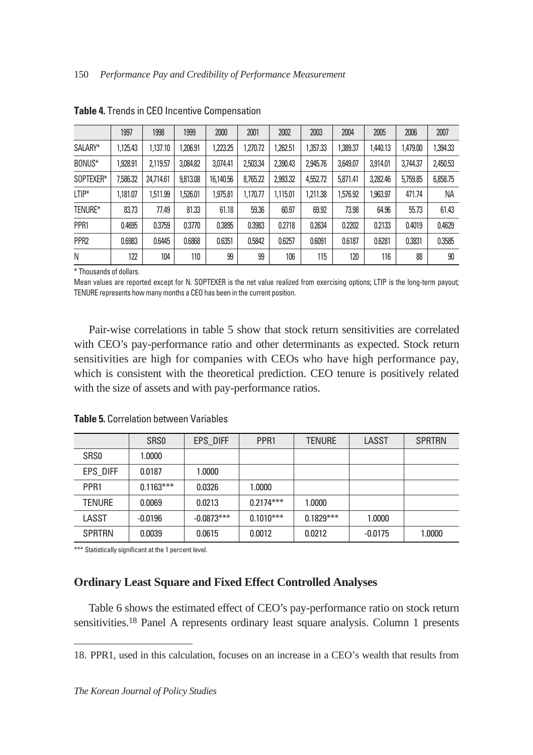|                  | 1997     | 1998      | 1999     | 2000      | 2001     | 2002     | 2003     | 2004     | 2005     | 2006     | 2007     |
|------------------|----------|-----------|----------|-----------|----------|----------|----------|----------|----------|----------|----------|
| SALARY*          | 1.125.43 | 1,137,10  | .206.91  | ,223.25   | .270.72  | .262.51  | ,357.33  | 1,389.37 | 1,440.13 | 1,479.00 | 394.33   |
| BONUS*           | 928.91   | 2.119.57  | 3,084.82 | 3,074.41  | 2,503.34 | 2,390.43 | 2,945.76 | 3,649.07 | 3.914.01 | 3,744.37 | 2,450.53 |
| SOPTEXER*        | 7,586.32 | 24.714.61 | 9,813.08 | 16,140.56 | 8.765.22 | 2,993.32 | 4,552,72 | 5.871.41 | 3,282.46 | 5,759.85 | 6,858.75 |
| $LTIP*$          | 1.181.07 | 1,511.99  | 1,526.01 | ,975.81   | 1.170.77 | 1,115.01 | 1,211.38 | 1,576.92 | 1,963.97 | 471.74   | NA       |
| TENURE*          | 83.73    | 77.49     | 81.33    | 61.18     | 59.36    | 60.97    | 69.92    | 73.98    | 64.96    | 55.73    | 61.43    |
| PPR1             | 0.4695   | 0.3759    | 0.3770   | 0.3895    | 0.3983   | 0.2718   | 0.2634   | 0.2202   | 0.2133   | 0.4019   | 0.4629   |
| PPR <sub>2</sub> | 0.6983   | 0.6445    | 0.6868   | 0.6351    | 0.5842   | 0.6257   | 0.6091   | 0.6187   | 0.6281   | 0.3831   | 0.3585   |
| N                | 122      | 104       | 110      | 99        | 99       | 106      | 115      | 120      | 116      | 88       | 90       |

**Table 4.** Trends in CEO Incentive Compensation

\* Thousands of dollars.

Mean values are reported except for N. SOPTEXER is the net value realized from exercising options; LTIP is the long-term payout; TENURE represents how many months a CEO has been in the current position.

Pair-wise correlations in table 5 show that stock return sensitivities are correlated with CEO's pay-performance ratio and other determinants as expected. Stock return sensitivities are high for companies with CEOs who have high performance pay, which is consistent with the theoretical prediction. CEO tenure is positively related with the size of assets and with pay-performance ratios.

|                  | SR <sub>SO</sub> | EPS DIFF     | PPR <sub>1</sub> | <b>TENURE</b> | LASST     | <b>SPRTRN</b> |
|------------------|------------------|--------------|------------------|---------------|-----------|---------------|
| SR <sub>S0</sub> | 1.0000           |              |                  |               |           |               |
| EPS DIFF         | 0.0187           | 1.0000       |                  |               |           |               |
| PPR <sub>1</sub> | $0.1163***$      | 0.0326       | 1.0000           |               |           |               |
| <b>TENURE</b>    | 0.0069           | 0.0213       | $0.2174***$      | 1.0000        |           |               |
| LASST            | $-0.0196$        | $-0.0873***$ | $0.1010***$      | $0.1829***$   | 1.0000    |               |
| <b>SPRTRN</b>    | 0.0039           | 0.0615       | 0.0012           | 0.0212        | $-0.0175$ | 1.0000        |

**Table 5.** Correlation between Variables

\*\*\* Statistically significant at the 1 percent level.

# **Ordinary Least Square and Fixed Effect Controlled Analyses**

Table 6 shows the estimated effect of CEO's pay-performance ratio on stock return sensitivities.18 Panel A represents ordinary least square analysis. Column 1 presents

<sup>18.</sup> PPR1, used in this calculation, focuses on an increase in a CEO's wealth that results from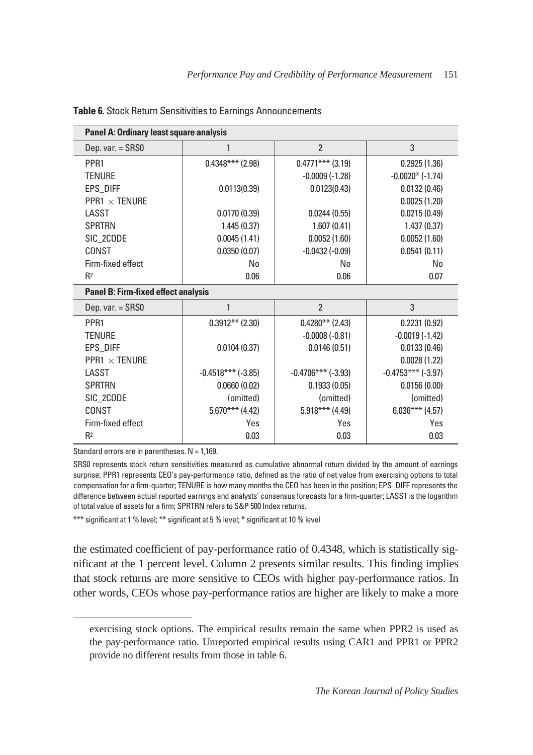| Panel A: Ordinary least square analysis    |                          |                      |                      |
|--------------------------------------------|--------------------------|----------------------|----------------------|
| Dep. var. = SRS0                           | 1                        | $\mathfrak{p}$       | 3                    |
| PPR <sub>1</sub>                           | $0.4348***$ (2.98)       | $0.4771***$ (3.19)   | 0.2925(1.36)         |
| <b>TENURE</b>                              |                          | $-0.0009(-1.28)$     | $-0.0020*$ (-1.74)   |
| EPS_DIFF                                   | 0.0113(0.39)             | 0.0123(0.43)         | 0.0132(0.46)         |
| <b>PPR1 <math>\times</math> TENURE</b>     |                          |                      | 0.0025(1.20)         |
| LASST                                      | 0.0170(0.39)             | 0.0244(0.55)         | 0.0215(0.49)         |
| <b>SPRTRN</b>                              | 1.445(0.37)              | 1.607(0.41)          | 1.437(0.37)          |
| SIC 2CODE                                  | 0.0045(1.41)             | 0.0052(1.60)         | 0.0052(1.60)         |
| CONST                                      | 0.0350(0.07)             | $-0.0432(-0.09)$     | 0.0541(0.11)         |
| Firm-fixed effect                          | No                       | No                   | No                   |
| R <sup>2</sup>                             | 0.06                     | 0.06                 | 0.07                 |
|                                            |                          |                      |                      |
| <b>Panel B: Firm-fixed effect analysis</b> |                          |                      |                      |
| Dep. var. = SRS0                           | 1                        | $\mathfrak{p}$       | 3                    |
| PPR <sub>1</sub>                           | $0.3912**$ (2.30)        | $0.4280**$ (2.43)    | 0.2231(0.92)         |
| <b>TENURE</b>                              |                          | $-0.0008(-0.81)$     | $-0.0019(-1.42)$     |
| EPS_DIFF                                   | 0.0104(0.37)             | 0.0146(0.51)         | 0.0133(0.46)         |
| <b>PPR1 <math>\times</math> TENURE</b>     |                          |                      | 0.0028(1.22)         |
| LASST                                      | $-0.4518***$ ( $-3.85$ ) | $-0.4706***$ (-3.93) | $-0.4753***$ (-3.97) |
| <b>SPRTRN</b>                              | 0.0660(0.02)             | 0.1933(0.05)         | 0.0156(0.00)         |
| SIC_2CODE                                  | (omitted)                | (omitted)            | (omitted)            |
| CONST                                      | $5.670***$ (4.42)        | $5.918***$ (4.49)    | $6.036***$ (4.57)    |
| Firm-fixed effect                          | Yes                      | Yes                  | Yes                  |

#### **Table 6.** Stock Return Sensitivities to Earnings Announcements

Standard errors are in parentheses.  $N = 1,169$ .

SRS0 represents stock return sensitivities measured as cumulative abnormal return divided by the amount of earnings surprise; PPR1 represents CEO's pay-performance ratio, defined as the ratio of net value from exercising options to total compensation for a firm-quarter; TENURE is how many months the CEO has been in the position; EPS\_DIFF represents the difference between actual reported earnings and analysts' consensus forecasts for a firm-quarter; LASST is the logarithm of total value of assets for a firm; SPRTRN refers to S&P 500 Index returns.

\*\*\* significant at 1 % level; \*\* significant at 5 % level; \* significant at 10 % level

the estimated coefficient of pay-performance ratio of 0.4348, which is statistically significant at the 1 percent level. Column 2 presents similar results. This finding implies that stock returns are more sensitive to CEOs with higher pay-performance ratios. In other words, CEOs whose pay-performance ratios are higher are likely to make a more

exercising stock options. The empirical results remain the same when PPR2 is used as the pay-performance ratio. Unreported empirical results using CAR1 and PPR1 or PPR2 provide no different results from those in table 6.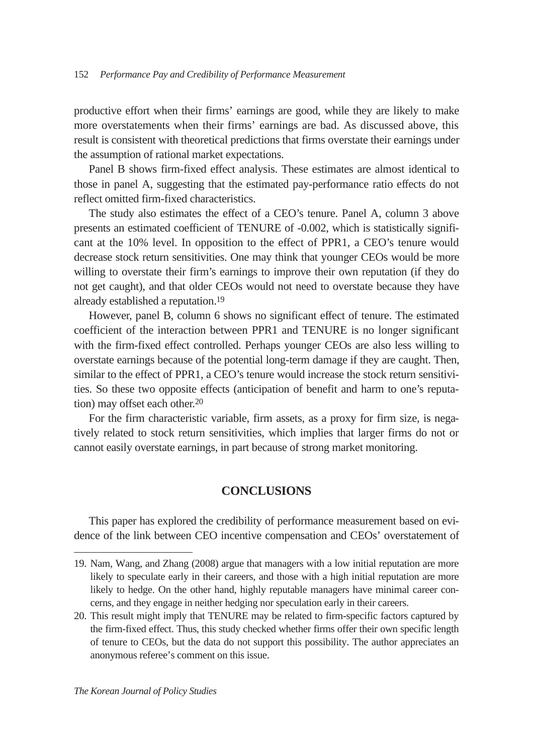productive effort when their firms' earnings are good, while they are likely to make more overstatements when their firms' earnings are bad. As discussed above, this result is consistent with theoretical predictions that firms overstate their earnings under the assumption of rational market expectations.

Panel B shows firm-fixed effect analysis. These estimates are almost identical to those in panel A, suggesting that the estimated pay-performance ratio effects do not reflect omitted firm-fixed characteristics.

The study also estimates the effect of a CEO's tenure. Panel A, column 3 above presents an estimated coefficient of TENURE of -0.002, which is statistically significant at the 10% level. In opposition to the effect of PPR1, a CEO's tenure would decrease stock return sensitivities. One may think that younger CEOs would be more willing to overstate their firm's earnings to improve their own reputation (if they do not get caught), and that older CEOs would not need to overstate because they have already established a reputation.19

However, panel B, column 6 shows no significant effect of tenure. The estimated coefficient of the interaction between PPR1 and TENURE is no longer significant with the firm-fixed effect controlled. Perhaps younger CEOs are also less willing to overstate earnings because of the potential long-term damage if they are caught. Then, similar to the effect of PPR1, a CEO's tenure would increase the stock return sensitivities. So these two opposite effects (anticipation of benefit and harm to one's reputation) may offset each other.20

For the firm characteristic variable, firm assets, as a proxy for firm size, is negatively related to stock return sensitivities, which implies that larger firms do not or cannot easily overstate earnings, in part because of strong market monitoring.

# **CONCLUSIONS**

This paper has explored the credibility of performance measurement based on evidence of the link between CEO incentive compensation and CEOs' overstatement of

<sup>19.</sup> Nam, Wang, and Zhang (2008) argue that managers with a low initial reputation are more likely to speculate early in their careers, and those with a high initial reputation are more likely to hedge. On the other hand, highly reputable managers have minimal career concerns, and they engage in neither hedging nor speculation early in their careers.

<sup>20.</sup> This result might imply that TENURE may be related to firm-specific factors captured by the firm-fixed effect. Thus, this study checked whether firms offer their own specific length of tenure to CEOs, but the data do not support this possibility. The author appreciates an anonymous referee's comment on this issue.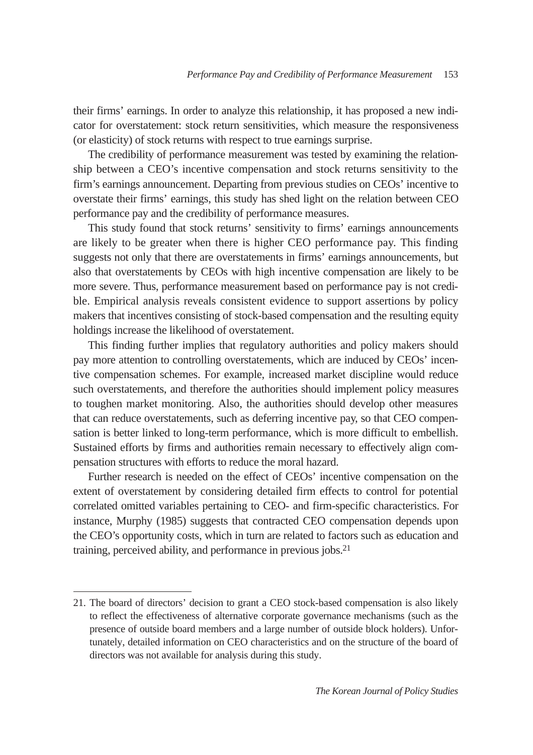their firms' earnings. In order to analyze this relationship, it has proposed a new indicator for overstatement: stock return sensitivities, which measure the responsiveness (or elasticity) of stock returns with respect to true earnings surprise.

The credibility of performance measurement was tested by examining the relationship between a CEO's incentive compensation and stock returns sensitivity to the firm's earnings announcement. Departing from previous studies on CEOs' incentive to overstate their firms' earnings, this study has shed light on the relation between CEO performance pay and the credibility of performance measures.

This study found that stock returns' sensitivity to firms' earnings announcements are likely to be greater when there is higher CEO performance pay. This finding suggests not only that there are overstatements in firms' earnings announcements, but also that overstatements by CEOs with high incentive compensation are likely to be more severe. Thus, performance measurement based on performance pay is not credible. Empirical analysis reveals consistent evidence to support assertions by policy makers that incentives consisting of stock-based compensation and the resulting equity holdings increase the likelihood of overstatement.

This finding further implies that regulatory authorities and policy makers should pay more attention to controlling overstatements, which are induced by CEOs' incentive compensation schemes. For example, increased market discipline would reduce such overstatements, and therefore the authorities should implement policy measures to toughen market monitoring. Also, the authorities should develop other measures that can reduce overstatements, such as deferring incentive pay, so that CEO compensation is better linked to long-term performance, which is more difficult to embellish. Sustained efforts by firms and authorities remain necessary to effectively align compensation structures with efforts to reduce the moral hazard.

Further research is needed on the effect of CEOs' incentive compensation on the extent of overstatement by considering detailed firm effects to control for potential correlated omitted variables pertaining to CEO- and firm-specific characteristics. For instance, Murphy (1985) suggests that contracted CEO compensation depends upon the CEO's opportunity costs, which in turn are related to factors such as education and training, perceived ability, and performance in previous jobs.21

<sup>21.</sup> The board of directors' decision to grant a CEO stock-based compensation is also likely to reflect the effectiveness of alternative corporate governance mechanisms (such as the presence of outside board members and a large number of outside block holders). Unfortunately, detailed information on CEO characteristics and on the structure of the board of directors was not available for analysis during this study.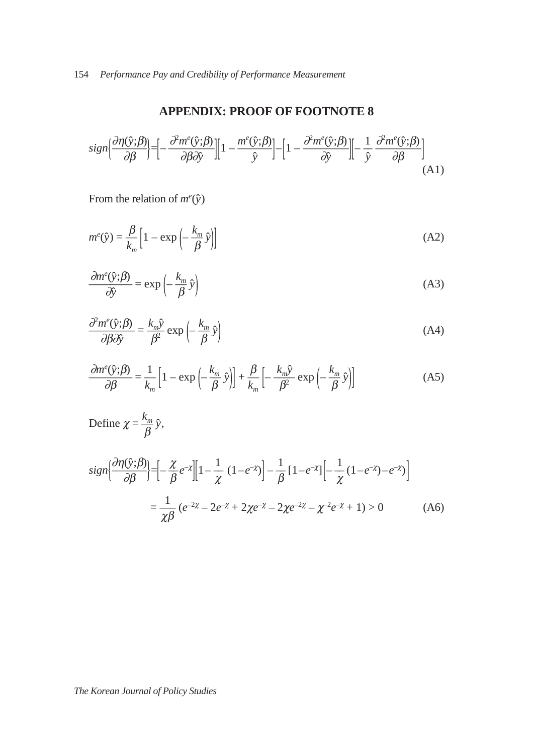# **APPENDIX: PROOF OF FOOTNOTE 8**

$$
sign\left\{\frac{\partial \eta(\hat{y};\beta)}{\partial \beta}\right\} = \left[-\frac{\partial^2 m^e(\hat{y};\beta)}{\partial \beta \partial \hat{y}}\right] \left[1 - \frac{m^e(\hat{y};\beta)}{\hat{y}}\right] - \left[1 - \frac{\partial^2 m^e(\hat{y};\beta)}{\partial \hat{y}}\right] \left[-\frac{1}{\hat{y}}\frac{\partial^2 m^e(\hat{y};\beta)}{\partial \beta}\right] \tag{A1}
$$

From the relation of  $m^e(\hat{y})$ 

$$
m^{e}(\hat{y}) = \frac{\beta}{k_m} \left[ 1 - \exp\left( -\frac{k_m}{\beta} \hat{y} \right) \right]
$$
 (A2)

$$
\frac{\partial m^e(\hat{y};\beta)}{\partial \hat{y}} = \exp\left(-\frac{k_m}{\beta}\hat{y}\right)
$$
(A3)

$$
\frac{\partial^2 m^e(\hat{y}; \beta)}{\partial \beta \partial \hat{y}} = \frac{k_m \hat{y}}{\beta^2} \exp\left(-\frac{k_m}{\beta} \hat{y}\right)
$$
(A4)

$$
\frac{\partial m^{e}(\hat{y};\beta)}{\partial \beta} = \frac{1}{k_{m}} \left[ 1 - \exp\left( -\frac{k_{m}}{\beta} \hat{y} \right) \right] + \frac{\beta}{k_{m}} \left[ -\frac{k_{m} \hat{y}}{\beta^{2}} \exp\left( -\frac{k_{m}}{\beta} \hat{y} \right) \right]
$$
(A5)

$$
\begin{aligned} \text{Define } \chi &= \frac{k_m}{\beta} \hat{y}, \\ \operatorname{sign} \left[ \frac{\partial \eta(\hat{y}; \beta)}{\partial \beta} \right] &= \left[ -\frac{\chi}{\beta} e^{-\chi} \right] \left[ 1 - \frac{1}{\chi} \left( 1 - e^{-\chi} \right) \right] - \frac{1}{\beta} \left[ 1 - e^{-\chi} \right] \left[ -\frac{1}{\chi} \left( 1 - e^{-\chi} \right) - e^{-\chi} \right] \\ &= \frac{1}{\chi \beta} \left( e^{-2\chi} - 2e^{-\chi} + 2\chi e^{-\chi} - 2\chi e^{-2\chi} - \chi^{-2} e^{-\chi} + 1 \right) > 0 \end{aligned} \tag{A6}
$$

# *The Korean Journal of Policy Studies*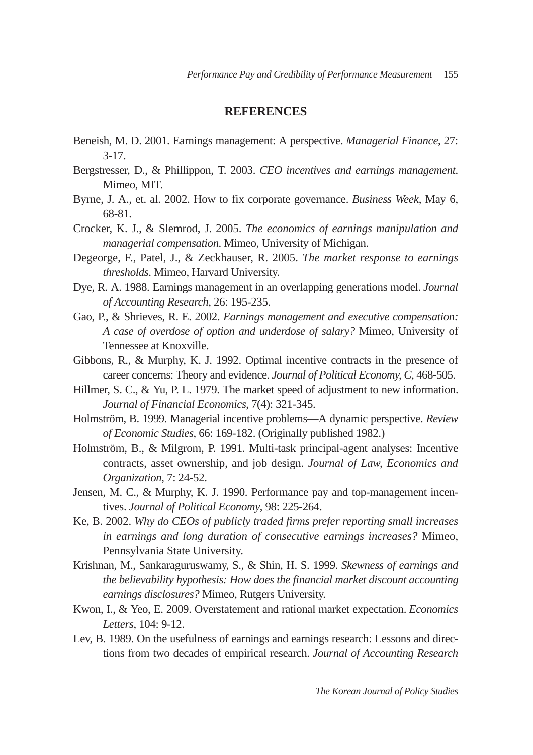### **REFERENCES**

- Beneish, M. D. 2001. Earnings management: A perspective. *Managerial Finance*, 27: 3-17.
- Bergstresser, D., & Phillippon, T. 2003. *CEO incentives and earnings management*. Mimeo, MIT.
- Byrne, J. A., et. al. 2002. How to fix corporate governance. *Business Week*, May 6, 68-81.
- Crocker, K. J., & Slemrod, J. 2005. *The economics of earnings manipulation and managerial compensation*. Mimeo, University of Michigan.
- Degeorge, F., Patel, J., & Zeckhauser, R. 2005. *The market response to earnings thresholds*. Mimeo, Harvard University.
- Dye, R. A. 1988. Earnings management in an overlapping generations model. *Journal of Accounting Research*, 26: 195-235.
- Gao, P., & Shrieves, R. E. 2002. *Earnings management and executive compensation: A case of overdose of option and underdose of salary?* Mimeo, University of Tennessee at Knoxville.
- Gibbons, R., & Murphy, K. J. 1992. Optimal incentive contracts in the presence of career concerns: Theory and evidence. *Journal of Political Economy, C*, 468-505.
- Hillmer, S. C., & Yu, P. L. 1979. The market speed of adjustment to new information. *Journal of Financial Economics*, 7(4): 321-345.
- Holmström, B. 1999. Managerial incentive problems—A dynamic perspective. *Review of Economic Studies*, 66: 169-182. (Originally published 1982.)
- Holmström, B., & Milgrom, P. 1991. Multi-task principal-agent analyses: Incentive contracts, asset ownership, and job design. *Journal of Law, Economics and Organization*, 7: 24-52.
- Jensen, M. C., & Murphy, K. J. 1990. Performance pay and top-management incentives. *Journal of Political Economy*, 98: 225-264.
- Ke, B. 2002. *Why do CEOs of publicly traded firms prefer reporting small increases in earnings and long duration of consecutive earnings increases?* Mimeo, Pennsylvania State University.
- Krishnan, M., Sankaraguruswamy, S., & Shin, H. S. 1999. *Skewness of earnings and the believability hypothesis: How does the financial market discount accounting earnings disclosures?* Mimeo, Rutgers University.
- Kwon, I., & Yeo, E. 2009. Overstatement and rational market expectation. *Economics Letters*, 104: 9-12.
- Lev, B. 1989. On the usefulness of earnings and earnings research: Lessons and directions from two decades of empirical research. *Journal of Accounting Research*